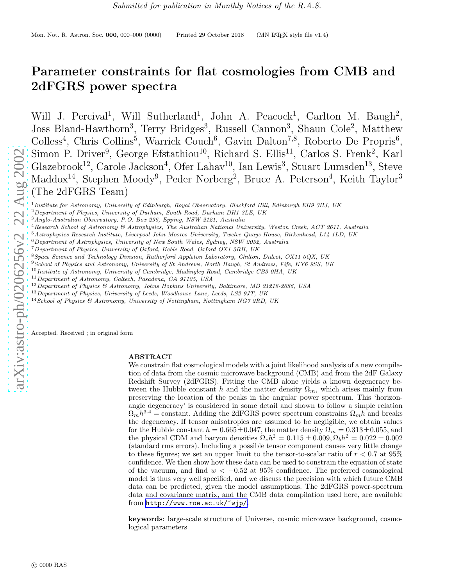# Parameter constraints for flat cosmologies from CMB and 2dFGRS power spectra

Will J. Percival<sup>1</sup>, Will Sutherland<sup>1</sup>, John A. Peacock<sup>1</sup>, Carlton M. Baugh<sup>2</sup>, Joss Bland-Hawthorn<sup>3</sup>, Terry Bridges<sup>3</sup>, Russell Cannon<sup>3</sup>, Shaun Cole<sup>2</sup>, Matthew Colless<sup>4</sup>, Chris Collins<sup>5</sup>, Warrick Couch<sup>6</sup>, Gavin Dalton<sup>7,8</sup>, Roberto De Propris<sup>6</sup>, Simon P. Driver<sup>9</sup>, George Efstathiou<sup>10</sup>, Richard S. Ellis<sup>11</sup>, Carlos S. Frenk<sup>2</sup>, Karl Glazebrook<sup>12</sup>, Carole Jackson<sup>4</sup>, Ofer Lahav<sup>10</sup>, Ian Lewis<sup>3</sup>, Stuart Lumsden<sup>13</sup>, Steve Maddox<sup>14</sup>, Stephen Moody<sup>9</sup>, Peder Norberg<sup>2</sup>, Bruce A. Peterson<sup>4</sup>, Keith Taylor<sup>3</sup> (The 2dFGRS Team)

<sup>1</sup> Institute for Astronomy, University of Edinburgh, Royal Observatory, Blackford Hill, Edinburgh EH9 3HJ, UK

- <sup>2</sup>Department of Physics, University of Durham, South Road, Durham DH1 3LE, UK
- <sup>3</sup>Anglo-Australian Observatory, P.O. Box 296, Epping, NSW 2121, Australia
- <sup>4</sup>Research School of Astronomy & Astrophysics, The Australian National University, Weston Creek, ACT 2611, Australia
- $5$ Astrophysics Research Institute, Liverpool John Moores University, Twelve Quays House, Birkenhead, L14 1LD, UK
- <sup>6</sup>Department of Astrophysics, University of New South Wales, Sydney, NSW 2052, Australia
- <sup>7</sup>Department of Physics, University of Oxford, Keble Road, Oxford OX1 3RH, UK
- <sup>8</sup>Space Science and Technology Division, Rutherford Appleton Laboratory, Chilton, Didcot, OX11 0QX, UK
- <sup>9</sup> School of Physics and Astronomy, University of St Andrews, North Haugh, St Andrews, Fife, KY6 9SS, UK
- <sup>10</sup> Institute of Astronomy, University of Cambridge, Madingley Road, Cambridge CB3 0HA, UK
- <sup>11</sup>Department of Astronomy, Caltech, Pasadena, CA 91125, USA
- $12$  Department of Physics & Astronomy, Johns Hopkins University, Baltimore, MD 21218-2686, USA
- $^{13}$  Department of Physics, University of Leeds, Woodhouse Lane, Leeds, LS2 9JT, UK
- <sup>14</sup> School of Physics & Astronomy, University of Nottingham, Nottingham NG7 2RD, UK

Accepted. Received ; in original form

### ABSTRACT

We constrain flat cosmological models with a joint likelihood analysis of a new compilation of data from the cosmic microwave background (CMB) and from the 2dF Galaxy Redshift Survey (2dFGRS). Fitting the CMB alone yields a known degeneracy between the Hubble constant h and the matter density  $\Omega_m$ , which arises mainly from preserving the location of the peaks in the angular power spectrum. This 'horizonangle degeneracy' is considered in some detail and shown to follow a simple relation  $\Omega_m h^{3.4}$  = constant. Adding the 2dFGRS power spectrum constrains  $\Omega_m h$  and breaks the degeneracy. If tensor anisotropies are assumed to be negligible, we obtain values for the Hubble constant  $h = 0.665 \pm 0.047$ , the matter density  $\Omega_m = 0.313 \pm 0.055$ , and the physical CDM and baryon densities  $\Omega_c h^2 = 0.115 \pm 0.009, \Omega_b h^2 = 0.022 \pm 0.002$ (standard rms errors). Including a possible tensor component causes very little change to these figures; we set an upper limit to the tensor-to-scalar ratio of  $r < 0.7$  at  $95\%$ confidence. We then show how these data can be used to constrain the equation of state of the vacuum, and find  $w < -0.52$  at 95% confidence. The preferred cosmological model is thus very well specified, and we discuss the precision with which future CMB data can be predicted, given the model assumptions. The 2dFGRS power-spectrum data and covariance matrix, and the CMB data compilation used here, are available from [http://www.roe.ac.uk/~wjp/](http://www.roe.ac.uk/\protect \protect \protect \edef OT1{OT1}\let \enc@update \relax \protect \edef cmtt{cmr}\protect \edef m{m}\protect \edef n{n}\protect \xdef \OT1/cmtt/m/n/10 {\OT1/cmtt/m/n/10 }\OT1/cmtt/m/n/10 \size@update \enc@update \ignorespaces \relax \protect \protect \edef cmtt{cmtt}\protect \xdef \OT1/cmtt/m/n/10 {\OT1/cmtt/m/n/10 }\OT1/cmtt/m/n/10 \size@update \enc@update \mathgroup \symtypewriter ~wjp/) .

keywords: large-scale structure of Universe, cosmic microwave background, cosmological parameters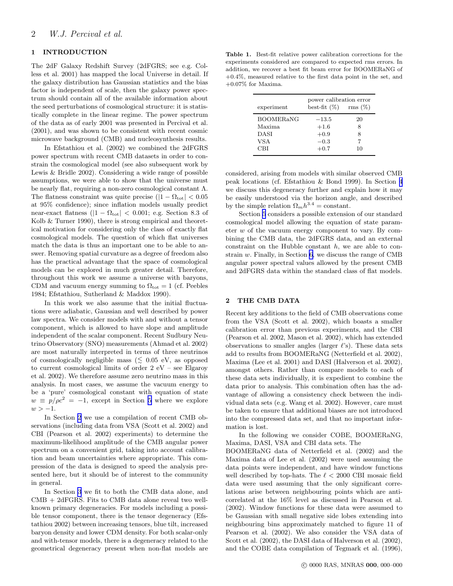## <span id="page-1-0"></span>1 INTRODUCTION

The 2dF Galaxy Redshift Survey (2dFGRS; see e.g. Colless et al. 2001) has mapped the local Universe in detail. If the galaxy distribution has Gaussian statistics and the bias factor is independent of scale, then the galaxy power spectrum should contain all of the available information about the seed perturbations of cosmological structure: it is statistically complete in the linear regime. The power spectrum of the data as of early 2001 was presented in Percival et al. (2001), and was shown to be consistent with recent cosmic microwave background (CMB) and nucleosynthesis results.

In Efstathiou et al. (2002) we combined the 2dFGRS power spectrum with recent CMB datasets in order to constrain the cosmological model (see also subsequent work by Lewis & Bridle 2002). Considering a wide range of possible assumptions, we were able to show that the universe must be nearly flat, requiring a non-zero cosmological constant  $\Lambda$ . The flatness constraint was quite precise  $(|1 - \Omega_{\text{tot}}| < 0.05)$ at 95% confidence); since inflation models usually predict near-exact flatness  $(|1 - \Omega_{\text{tot}}| < 0.001;$  e.g. Section 8.3 of Kolb & Turner 1990), there is strong empirical and theoretical motivation for considering only the class of exactly flat cosmological models. The question of which flat universes match the data is thus an important one to be able to answer. Removing spatial curvature as a degree of freedom also has the practical advantage that the space of cosmological models can be explored in much greater detail. Therefore, throughout this work we assume a universe with baryons, CDM and vacuum energy summing to  $\Omega_{\text{tot}} = 1$  (cf. Peebles 1984; Efstathiou, Sutherland & Maddox 1990).

In this work we also assume that the initial fluctuations were adiabatic, Gaussian and well described by power law spectra. We consider models with and without a tensor component, which is allowed to have slope and amplitude independent of the scalar component. Recent Sudbury Neutrino Observatory (SNO) measurements (Ahmad et al. 2002) are most naturally interpreted in terms of three neutrinos of cosmologically negligible mass ( $\leq 0.05$  eV, as opposed to current cosmological limits of order 2 eV – see Elgaroy et al. 2002). We therefore assume zero neutrino mass in this analysis. In most cases, we assume the vacuum energy to be a 'pure' cosmological constant with equation of state  $w \equiv p/\rho c^2 = -1$ , except in Section [5](#page-10-0) where we explore  $w > -1.$ 

In Section 2 we use a compilation of recent CMB observations (including data from VSA (Scott et al. 2002) and CBI (Pearson et al. 2002) experiments) to determine the maximum-likelihood amplitude of the CMB angular power spectrum on a convenient grid, taking into account calibration and beam uncertainties where appropriate. This compression of the data is designed to speed the analysis presented here, but it should be of interest to the community in general.

In Section [3](#page-3-0) we fit to both the CMB data alone, and CMB + 2dFGRS. Fits to CMB data alone reveal two wellknown primary degeneracies. For models including a possible tensor component, there is the tensor degeneracy (Efstathiou 2002) between increasing tensors, blue tilt, increased baryon density and lower CDM density. For both scalar-only and with-tensor models, there is a degeneracy related to the geometrical degeneracy present when non-flat models are

Table 1. Best-fit relative power calibration corrections for the experiments considered are compared to expected rms errors. In addition, we recover a best fit beam error for BOOMERaNG of +0.4%, measured relative to the first data point in the set, and +0.07% for Maxima.

| experiment                                | power calibration error<br>best-fit $(\%)$ rms $(\%)$ |              |
|-------------------------------------------|-------------------------------------------------------|--------------|
| <b>BOOMERANG</b><br>Maxima<br>DASI<br>VSA | $-13.5$<br>$+1.6$<br>$+0.9$<br>$-0.3$                 | 20<br>8<br>8 |
| CBI                                       | $+0.7$                                                | 10           |

considered, arising from models with similar observed CMB peak locations (cf. Efstathiou & Bond 1999). In Section [4](#page-6-0) we discuss this degeneracy further and explain how it may be easily understood via the horizon angle, and described by the simple relation  $\Omega_m h^{3.4} = \text{constant}$ .

Section [5](#page-10-0) considers a possible extension of our standard cosmological model allowing the equation of state parameter  $w$  of the vacuum energy component to vary. By combining the CMB data, the 2dFGRS data, and an external constraint on the Hubble constant h, we are able to constrain w. Finally, in Section [6,](#page-10-0) we discuss the range of CMB angular power spectral values allowed by the present CMB and 2dFGRS data within the standard class of flat models.

## 2 THE CMB DATA

Recent key additions to the field of CMB observations come from the VSA (Scott et al. 2002), which boasts a smaller calibration error than previous experiments, and the CBI (Pearson et al. 2002, Mason et al. 2002), which has extended observations to smaller angles (larger  $\ell$ 's). These data sets add to results from BOOMERaNG (Netterfield et al. 2002), Maxima (Lee et al. 2001) and DASI (Halverson et al. 2002), amongst others. Rather than compare models to each of these data sets individually, it is expedient to combine the data prior to analysis. This combination often has the advantage of allowing a consistency check between the individual data sets (e.g. Wang et al. 2002). However, care must be taken to ensure that additional biases are not introduced into the compressed data set, and that no important information is lost.

In the following we consider COBE, BOOMERaNG, Maxima, DASI, VSA and CBI data sets. The

BOOMERaNG data of Netterfield et al. (2002) and the Maxima data of Lee et al. (2002) were used assuming the data points were independent, and have window functions well described by top-hats. The  $\ell < 2000$  CBI mosaic field data were used assuming that the only significant correlations arise between neighbouring points which are anticorrelated at the 16% level as discussed in Pearson et al. (2002). Window functions for these data were assumed to be Gaussian with small negative side lobes extending into neighbouring bins approximately matched to figure 11 of Pearson et al. (2002). We also consider the VSA data of Scott et al.  $(2002)$ , the DASI data of Halverson et al.  $(2002)$ , and the COBE data compilation of Tegmark et al. (1996),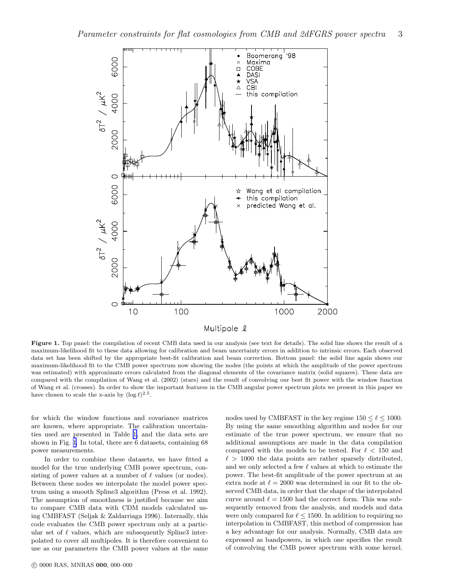<span id="page-2-0"></span>

Figure 1. Top panel: the compilation of recent CMB data used in our analysis (see text for details). The solid line shows the result of a maximum-likelihood fit to these data allowing for calibration and beam uncertainty errors in addition to intrinsic errors. Each observed data set has been shifted by the appropriate best-fit calibration and beam correction. Bottom panel: the solid line again shows our maximum-likelihood fit to the CMB power spectrum now showing the nodes (the points at which the amplitude of the power spectrum was estimated) with approximate errors calculated from the diagonal elements of the covariance matrix (solid squares). These data are compared with the compilation of Wang et al. (2002) (stars) and the result of convolving our best fit power with the window function of Wang et al. (crosses). In order to show the important features in the CMB angular power spectrum plots we present in this paper we have chosen to scale the x-axis by  $(\log \ell)^{2.5}$ .

for which the window functions and covariance matrices are known, where appropriate. The calibration uncertainties used are presented in Table [1,](#page-1-0) and the data sets are shown in Fig. 1. In total, there are 6 datasets, containing 68 power measurements.

In order to combine these datasets, we have fitted a model for the true underlying CMB power spectrum, consisting of power values at a number of  $\ell$  values (or nodes). Between these nodes we interpolate the model power spectrum using a smooth Spline3 algorithm (Press et al. 1992). The assumption of smoothness is justified because we aim to compare CMB data with CDM models calculated using CMBFAST (Seljak & Zaldarriaga 1996). Internally, this code evaluates the CMB power spectrum only at a particular set of  $\ell$  values, which are subsequently Spline3 interpolated to cover all multipoles. It is therefore convenient to use as our parameters the CMB power values at the same

nodes used by CMBFAST in the key regime  $150 \leq \ell \leq 1000$ . By using the same smoothing algorithm and nodes for our estimate of the true power spectrum, we ensure that no additional assumptions are made in the data compilation compared with the models to be tested. For  $\ell < 150$  and  $\ell > 1000$  the data points are rather sparsely distributed, and we only selected a few  $\ell$  values at which to estimate the power. The best-fit amplitude of the power spectrum at an extra node at  $\ell = 2000$  was determined in our fit to the observed CMB data, in order that the shape of the interpolated curve around  $\ell = 1500$  had the correct form. This was subsequently removed from the analysis, and models and data were only compared for  $\ell \leq 1500$ . In addition to requiring no interpolation in CMBFAST, this method of compression has a key advantage for our analysis. Normally, CMB data are expressed as bandpowers, in which one specifies the result of convolving the CMB power spectrum with some kernel.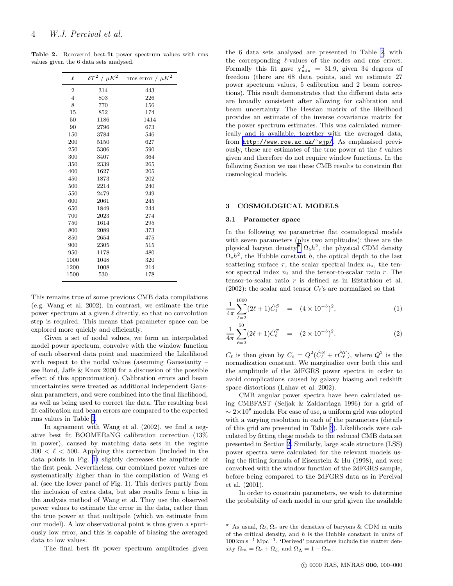<span id="page-3-0"></span>Table 2. Recovered best-fit power spectrum values with rms values given the 6 data sets analysed.

| $\ell$         | $\delta T^2$ / $\mu K^2$ | rms error / $\mu K^2$ |
|----------------|--------------------------|-----------------------|
|                |                          |                       |
| $\overline{2}$ | 314                      | 443                   |
| $\overline{4}$ | 803                      | 226                   |
| 8              | 770                      | 156                   |
| 15             | 852                      | 174                   |
| 50             | 1186                     | 1414                  |
| 90             | 2796                     | 673                   |
| 150            | 3784                     | 546                   |
| 200            | 5150                     | 627                   |
| 250            | 5306                     | 590                   |
| 300            | 3407                     | 364                   |
| 350            | 2339                     | 265                   |
| 400            | 1627                     | 205                   |
| 450            | 1873                     | 202                   |
| 500            | 2214                     | 240                   |
| 550            | 2479                     | 249                   |
| 600            | 2061                     | 245                   |
| 650            | 1849                     | 244                   |
| 700            | 2023                     | 274                   |
| 750            | 1614                     | 295                   |
| 800            | 2089                     | 373                   |
| 850            | 2654                     | 475                   |
| 900            | 2305                     | 515                   |
| 950            | 1178                     | 480                   |
| 1000           | 1048                     | 320                   |
| 1200           | 1008                     | 214                   |
| 1500           | 530                      | 178                   |
|                |                          |                       |

This remains true of some previous CMB data compilations (e.g. Wang et al. 2002). In contrast, we estimate the true power spectrum at a given  $\ell$  directly, so that no convolution step is required. This means that parameter space can be explored more quickly and efficiently.

Given a set of nodal values, we form an interpolated model power spectrum, convolve with the window function of each observed data point and maximized the Likelihood with respect to the nodal values (assuming Gaussianity – see Bond, Jaffe & Knox 2000 for a discussion of the possible effect of this approximation). Calibration errors and beam uncertainties were treated as additional independent Gaussian parameters, and were combined into the final likelihood, as well as being used to correct the data. The resulting best fit calibration and beam errors are compared to the expected rms values in Table [1](#page-1-0).

In agreement with Wang et al. (2002), we find a negative best fit BOOMERaNG calibration correction (13% in power), caused by matching data sets in the regime  $300 < \ell < 500$ . Applying this correction (included in the data points in Fig. [1\)](#page-2-0) slightly decreases the amplitude of the first peak. Nevertheless, our combined power values are systematically higher than in the compilation of Wang et al. (see the lower panel of Fig. 1). This derives partly from the inclusion of extra data, but also results from a bias in the analysis method of Wang et al. They use the observed power values to estimate the error in the data, rather than the true power at that multipole (which we estimate from our model). A low observational point is thus given a spuriously low error, and this is capable of biasing the averaged data to low values.

The final best fit power spectrum amplitudes given

the 6 data sets analysed are presented in Table 2, with the corresponding  $\ell$ -values of the nodes and rms errors. Formally this fit gave  $\chi^2_{\rm min} = 31.9$ , given 34 degrees of freedom (there are 68 data points, and we estimate 27 power spectrum values, 5 calibration and 2 beam corrections). This result demonstrates that the different data sets are broadly consistent after allowing for calibration and beam uncertainty. The Hessian matrix of the likelihood provides an estimate of the inverse covariance matrix for the power spectrum estimates. This was calculated numerically and is available, together with the averaged data, from [http://www.roe.ac.uk/~wjp/](http://www.roe.ac.uk/\protect \protect \protect \edef OT1{OT1}\let \enc@update \relax \protect \edef cmtt{cmr}\protect \edef m{m}\protect \edef n{n}\protect \xdef \OT1/cmtt/m/n/9 {\OT1/cmtt/m/n/9 }\OT1/cmtt/m/n/9 \size@update \enc@update \ignorespaces \relax \protect \protect \edef cmtt{cmtt}\protect \xdef \OT1/cmtt/m/n/9 {\OT1/cmtt/m/n/9 }\OT1/cmtt/m/n/9 \size@update \enc@update \mathgroup \symtypewriter ~wjp/). As emphasised previously, these are estimates of the true power at the  $\ell$  values given and therefore do not require window functions. In the following Section we use these CMB results to constrain flat cosmological models.

#### 3 COSMOLOGICAL MODELS

## 3.1 Parameter space

In the following we parametrise flat cosmological models with seven parameters (plus two amplitudes): these are the physical baryon density  $\Lambda_b h^2$ , the physical CDM density  $\Omega_c h^2$ , the Hubble constant h, the optical depth to the last scattering surface  $\tau$ , the scalar spectral index  $n_s$ , the tensor spectral index  $n_t$  and the tensor-to-scalar ratio r. The tensor-to-scalar ratio r is defined as in Efstathiou et al. (2002): the scalar and tensor  $C_{\ell}$ 's are normalized so that

$$
\frac{1}{4\pi} \sum_{\ell=2}^{1000} (2\ell+1) \hat{C}_{\ell}^{S} = (4 \times 10^{-5})^{2}, \tag{1}
$$

$$
\frac{1}{4\pi} \sum_{\ell=2}^{50} (2\ell+1)\hat{C}_{\ell}^{T} = (2 \times 10^{-5})^{2}.
$$
 (2)

 $C_{\ell}$  is then given by  $C_{\ell} = Q^2(\hat{C}_{\ell}^S + r\hat{C}_{\ell}^T)$ , where  $Q^2$  is the normalization constant. We marginalize over both this and the amplitude of the 2dFGRS power spectra in order to avoid complications caused by galaxy biasing and redshift space distortions (Lahav et al. 2002).

CMB angular power spectra have been calculated using CMBFAST (Seljak & Zaldarriaga 1996) for a grid of  $\sim 2 \times 10^8$  models. For ease of use, a uniform grid was adopted with a varying resolution in each of the parameters (details of this grid are presented in Table [3](#page-4-0)). Likelihoods were calculated by fitting these models to the reduced CMB data set presented in Section [2.](#page-1-0) Similarly, large scale structure (LSS) power spectra were calculated for the relevant models using the fitting formula of Eisenstein  $\&$  Hu (1998), and were convolved with the window function of the 2dFGRS sample, before being compared to the 2dFGRS data as in Percival et al. (2001).

In order to constrain parameters, we wish to determine the probability of each model in our grid given the available

<sup>&</sup>lt;sup>\*</sup> As usual,  $\Omega_b$ ,  $\Omega_c$  are the densities of baryons & CDM in units of the critical density, and  $h$  is the Hubble constant in units of 100 km s−<sup>1</sup> Mpc−<sup>1</sup> . 'Derived' parameters include the matter density  $\Omega_m = \Omega_c + \Omega_b$ , and  $\Omega_{\Lambda} = 1 - \Omega_m$ .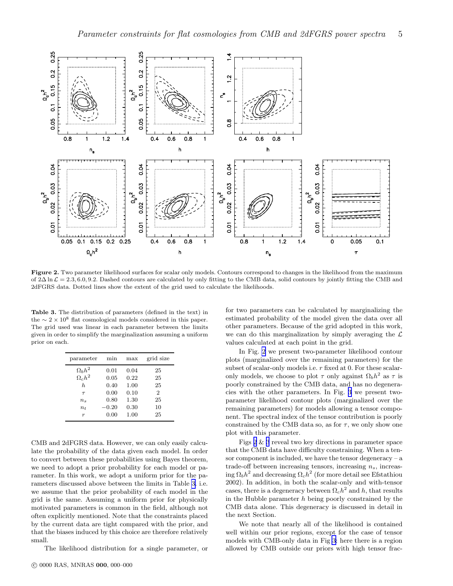<span id="page-4-0"></span>

Figure 2. Two parameter likelihood surfaces for scalar only models. Contours correspond to changes in the likelihood from the maximum of  $2\Delta \ln \mathcal{L} = 2.3, 6.0, 9.2$ . Dashed contours are calculated by only fitting to the CMB data, solid contours by jointly fitting the CMB and 2dFGRS data. Dotted lines show the extent of the grid used to calculate the likelihoods.

Table 3. The distribution of parameters (defined in the text) in the  $\sim 2 \times 10^8$  flat cosmological models considered in this paper. The grid used was linear in each parameter between the limits given in order to simplify the marginalization assuming a uniform prior on each.

| parameter            | min             | max          | grid size      |
|----------------------|-----------------|--------------|----------------|
| $\Omega_b h^2$       | 0.01            | 0.04         | 25             |
| $\Omega_c h^2$<br>h. | 0.05<br>0.40    | 0.22<br>1.00 | 25<br>25       |
| $\tau$               | 0.00            | 0.10         | $\overline{2}$ |
| $n_{s}$<br>$n_{t}$   | 0.80<br>$-0.20$ | 1.30<br>0.30 | 25<br>10       |
| $\boldsymbol{r}$     | 0.00            | 1.00         | 25             |

CMB and 2dFGRS data. However, we can only easily calculate the probability of the data given each model. In order to convert between these probabilities using Bayes theorem, we need to adopt a prior probability for each model or parameter. In this work, we adopt a uniform prior for the parameters discussed above between the limits in Table 3. i.e. we assume that the prior probability of each model in the grid is the same. Assuming a uniform prior for physically motivated parameters is common in the field, although not often explicitly mentioned. Note that the constraints placed by the current data are tight compared with the prior, and that the biases induced by this choice are therefore relatively small.

The likelihood distribution for a single parameter, or

c 0000 RAS, MNRAS 000, 000–000

for two parameters can be calculated by marginalizing the estimated probability of the model given the data over all other parameters. Because of the grid adopted in this work, we can do this marginalization by simply averaging the  $\mathcal L$ values calculated at each point in the grid.

In Fig. 2 we present two-parameter likelihood contour plots (marginalized over the remaining parameters) for the subset of scalar-only models i.e. r fixed at 0. For these scalaronly models, we choose to plot  $\tau$  only against  $\Omega_b h^2$  as  $\tau$  is poorly constrained by the CMB data, and has no degeneracies with the other parameters. In Fig. [3](#page-5-0) we present twoparameter likelihood contour plots (marginalized over the remaining parameters) for models allowing a tensor component. The spectral index of the tensor contribution is poorly constrained by the CMB data so, as for  $\tau$ , we only show one plot with this parameter.

Figs 2 & [3](#page-5-0) reveal two key directions in parameter space that the CMB data have difficulty constraining. When a tensor component is included, we have the tensor degeneracy  $-a$ trade-off between increasing tensors, increasing  $n<sub>s</sub>$ , increasing  $\Omega_b h^2$  and decreasing  $\Omega_c h^2$  (for more detail see Efstathiou 2002). In addition, in both the scalar-only and with-tensor cases, there is a degeneracy between  $\Omega_c h^2$  and h, that results in the Hubble parameter  $h$  being poorly constrained by the CMB data alone. This degeneracy is discussed in detail in the next Section.

We note that nearly all of the likelihood is contained well within our prior regions, except for the case of tensor models with CMB-only data in Fig [3:](#page-5-0) here there is a region allowed by CMB outside our priors with high tensor frac-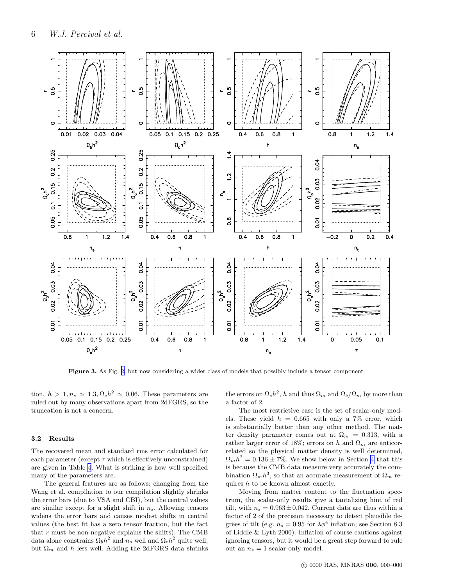<span id="page-5-0"></span>

Figure 3. As Fig. [2,](#page-4-0) but now considering a wider class of models that possibly include a tensor component.

tion,  $h > 1, n_s \simeq 1.3, \Omega_c h^2 \simeq 0.06$ . These parameters are ruled out by many observations apart from 2dFGRS, so the truncation is not a concern.

## 3.2 Results

The recovered mean and standard rms error calculated for each parameter (except  $\tau$  which is effectively unconstrained) are given in Table [4](#page-6-0). What is striking is how well specified many of the parameters are.

The general features are as follows: changing from the Wang et al. compilation to our compilation slightly shrinks the error bars (due to VSA and CBI), but the central values are similar except for a slight shift in  $n_s$ . Allowing tensors widens the error bars and causes modest shifts in central values (the best fit has a zero tensor fraction, but the fact that  $r$  must be non-negative explains the shifts). The CMB data alone constrains  $\Omega_b h^2$  and  $n_s$  well and  $\Omega_c h^2$  quite well, but  $\Omega_m$  and h less well. Adding the 2dFGRS data shrinks

the errors on  $\Omega_c h^2$ , h and thus  $\Omega_m$  and  $\Omega_b/\Omega_m$  by more than a factor of 2.

The most restrictive case is the set of scalar-only models. These yield  $h = 0.665$  with only a 7% error, which is substantially better than any other method. The matter density parameter comes out at  $\Omega_m = 0.313$ , with a rather larger error of 18%; errors on h and  $\Omega_m$  are anticorrelated so the physical matter density is well determined,  $\Omega_m h^2 = 0.136 \pm 7\%$ . We show below in Section [4](#page-6-0) that this is because the CMB data measure very accurately the combination  $\Omega_m h^3$ , so that an accurate measurement of  $\Omega_m$  requires  $h$  to be known almost exactly.

Moving from matter content to the fluctuation spectrum, the scalar-only results give a tantalizing hint of red tilt, with  $n_s = 0.963 \pm 0.042$ . Current data are thus within a factor of 2 of the precision necessary to detect plausible degrees of tilt (e.g.  $n_s = 0.95$  for  $\lambda \phi^4$  inflation; see Section 8.3 of Liddle & Lyth 2000). Inflation of course cautions against ignoring tensors, but it would be a great step forward to rule out an  $n_s = 1$  scalar-only model.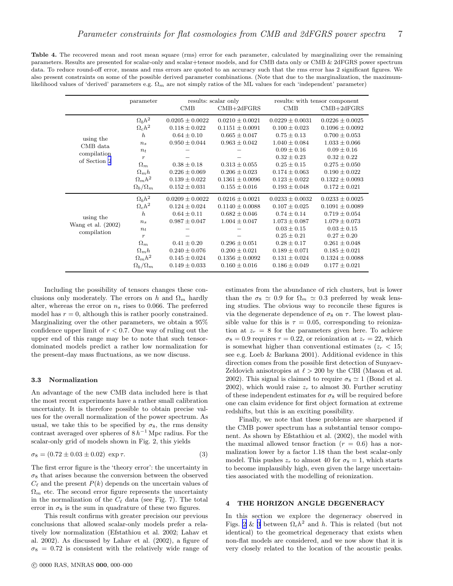<span id="page-6-0"></span>Table 4. The recovered mean and root mean square (rms) error for each parameter, calculated by marginalizing over the remaining parameters. Results are presented for scalar-only and scalar+tensor models, and for CMB data only or CMB & 2dFGRS power spectrum data. To reduce round-off error, means and rms errors are quoted to an accuracy such that the rms error has 2 significant figures. We also present constraints on some of the possible derived parameter combinations. (Note that due to the marginalization, the maximumlikelihood values of 'derived' parameters e.g.  $\Omega_m$  are not simply ratios of the ML values for each 'independent' parameter)

|                                   | parameter           | $\rm CMB$           | results: scalar only<br>$CMB+2dFGRS$ | CMB                 | results: with tensor component<br>$\text{CMB} + 2\text{dFGRS}$ |
|-----------------------------------|---------------------|---------------------|--------------------------------------|---------------------|----------------------------------------------------------------|
|                                   |                     |                     |                                      |                     |                                                                |
|                                   | $\Omega_h h^2$      | $0.0205 \pm 0.0022$ | $0.0210 \pm 0.0021$                  | $0.0229 \pm 0.0031$ | $0.0226 \pm 0.0025$                                            |
|                                   | $\Omega_c h^2$      | $0.118 \pm 0.022$   | $0.1151 \pm 0.0091$                  | $0.100 \pm 0.023$   | $0.1096 \pm 0.0092$                                            |
| using the                         | $\boldsymbol{h}$    | $0.64 \pm 0.10$     | $0.665 \pm 0.047$                    | $0.75 \pm 0.13$     | $0.700 \pm 0.053$                                              |
| CMB data                          | $n_{s}$             | $0.950 \pm 0.044$   | $0.963 \pm 0.042$                    | $1.040 \pm 0.084$   | $1.033 \pm 0.066$                                              |
| compilation                       | $n_{t}$             |                     |                                      | $0.09 \pm 0.16$     | $0.09 \pm 0.16$                                                |
| of Section 2                      | $\boldsymbol{r}$    |                     |                                      | $0.32 \pm 0.23$     | $0.32 \pm 0.22$                                                |
|                                   | $\Omega_m$          | $0.38 \pm 0.18$     | $0.313 \pm 0.055$                    | $0.25 \pm 0.15$     | $0.275 \pm 0.050$                                              |
|                                   | $\Omega_m h$        | $0.226 \pm 0.069$   | $0.206 \pm 0.023$                    | $0.174 \pm 0.063$   | $0.190 \pm 0.022$                                              |
|                                   | $\Omega_m h^2$      | $0.139 \pm 0.022$   | $0.1361 \pm 0.0096$                  | $0.123 \pm 0.022$   | $0.1322 \pm 0.0093$                                            |
|                                   | $\Omega_b/\Omega_m$ | $0.152 \pm 0.031$   | $0.155 \pm 0.016$                    | $0.193 \pm 0.048$   | $0.172 \pm 0.021$                                              |
|                                   | $\Omega_b h^2$      | $0.0209 \pm 0.0022$ | $0.0216 \pm 0.0021$                  | $0.0233 \pm 0.0032$ | $0.0233 \pm 0.0025$                                            |
|                                   | $\Omega_c h^2$      | $0.124 \pm 0.024$   | $0.1140 \pm 0.0088$                  | $0.107 \pm 0.025$   | $0.1091 \pm 0.0089$                                            |
| using the                         | $\boldsymbol{h}$    | $0.64 \pm 0.11$     | $0.682 \pm 0.046$                    | $0.74 \pm 0.14$     | $0.719 \pm 0.054$                                              |
| Wang et al. (2002)<br>compilation | $n_{s}$             | $0.987 \pm 0.047$   | $1.004 \pm 0.047$                    | $1.073 \pm 0.087$   | $1.079 \pm 0.073$                                              |
|                                   | $n_{t}$             |                     |                                      | $0.03 \pm 0.15$     | $0.03 \pm 0.15$                                                |
|                                   | $\boldsymbol{r}$    |                     |                                      | $0.25 \pm 0.21$     | $0.27 \pm 0.20$                                                |
|                                   | $\Omega_m$          | $0.41 \pm 0.20$     | $0.296 \pm 0.051$                    | $0.28 \pm 0.17$     | $0.261 \pm 0.048$                                              |
|                                   | $\Omega_m h$        | $0.240 \pm 0.076$   | $0.200 \pm 0.021$                    | $0.189 \pm 0.071$   | $0.185 \pm 0.021$                                              |
|                                   | $\Omega_m h^2$      | $0.145 \pm 0.024$   | $0.1356 \pm 0.0092$                  | $0.131 \pm 0.024$   | $0.1324 \pm 0.0088$                                            |
|                                   | $\Omega_b/\Omega_m$ | $0.149 \pm 0.033$   | $0.160 \pm 0.016$                    | $0.186 \pm 0.049$   | $0.177 \pm 0.021$                                              |

Including the possibility of tensors changes these conclusions only moderately. The errors on h and  $\Omega_m$  hardly alter, whereas the error on  $n_s$  rises to 0.066. The preferred model has  $r = 0$ , although this is rather poorly constrained. Marginalizing over the other parameters, we obtain a 95% confidence upper limit of  $r < 0.7$ . One way of ruling out the upper end of this range may be to note that such tensordominated models predict a rather low normalization for the present-day mass fluctuations, as we now discuss.

#### 3.3 Normalization

An advantage of the new CMB data included here is that the most recent experiments have a rather small calibration uncertainty. It is therefore possible to obtain precise values for the overall normalization of the power spectrum. As usual, we take this to be specified by  $\sigma_8$ , the rms density contrast averaged over spheres of  $8 h^{-1}$  Mpc radius. For the scalar-only grid of models shown in Fig. 2, this yields

$$
\sigma_8 = (0.72 \pm 0.03 \pm 0.02) \exp \tau.
$$
 (3)

The first error figure is the 'theory error': the uncertainty in  $\sigma_8$  that arises because the conversion between the observed  $C_{\ell}$  and the present  $P(k)$  depends on the uncertain values of  $\Omega_m$  etc. The second error figure represents the uncertainty in the normalization of the  $C_{\ell}$  data (see Fig. 7). The total error in  $\sigma_8$  is the sum in quadrature of these two figures.

This result confirms with greater precision our previous conclusions that allowed scalar-only models prefer a relatively low normalization (Efstathiou et al. 2002; Lahav et al. 2002). As discussed by Lahav et al. (2002), a figure of  $\sigma_8 = 0.72$  is consistent with the relatively wide range of estimates from the abundance of rich clusters, but is lower than the  $\sigma_8 \simeq 0.9$  for  $\Omega_m \simeq 0.3$  preferred by weak lensing studies. The obvious way to reconcile these figures is via the degenerate dependence of  $\sigma_8$  on  $\tau$ . The lowest plausible value for this is  $\tau = 0.05$ , corresponding to reionization at  $z_r = 8$  for the parameters given here. To achieve  $\sigma_8 = 0.9$  requires  $\tau = 0.22$ , or reionization at  $z_r = 22$ , which is somewhat higher than conventional estimates ( $z_r < 15$ ; see e.g. Loeb & Barkana 2001). Additional evidence in this direction comes from the possible first detection of Sunyaev-Zeldovich anisotropies at  $\ell > 200$  by the CBI (Mason et al. 2002). This signal is claimed to require  $\sigma_8 \simeq 1$  (Bond et al. 2002), which would raise  $z_r$  to almost 30. Further scrutiny of these independent estimates for  $\sigma_8$  will be required before one can claim evidence for first object formation at extreme redshifts, but this is an exciting possibility.

Finally, we note that these problems are sharpened if the CMB power spectrum has a substantial tensor component. As shown by Efstathiou et al. (2002), the model with the maximal allowed tensor fraction  $(r = 0.6)$  has a normalization lower by a factor 1.18 than the best scalar-only model. This pushes  $z_r$  to almost 40 for  $\sigma_8 = 1$ , which starts to become implausibly high, even given the large uncertainties associated with the modelling of reionization.

### 4 THE HORIZON ANGLE DEGENERACY

In this section we explore the degeneracy observed in Figs. [2](#page-4-0) & [3](#page-5-0) between  $\Omega_c h^2$  and h. This is related (but not identical) to the geometrical degeneracy that exists when non-flat models are considered, and we now show that it is very closely related to the location of the acoustic peaks.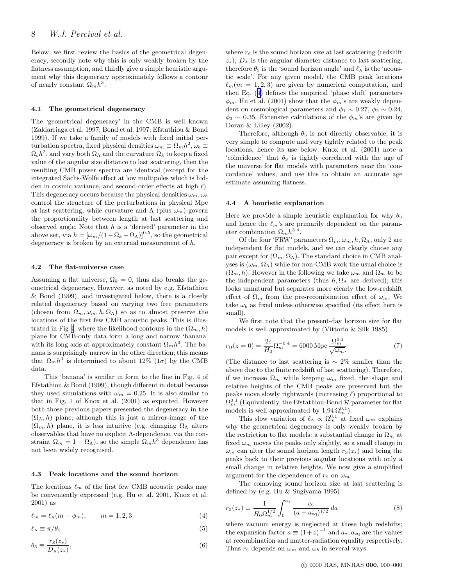<span id="page-7-0"></span>Below, we first review the basics of the geometrical degeneracy, secondly note why this is only weakly broken by the flatness assumption, and thirdly give a simple heuristic argument why this degeneracy approximately follows a contour of nearly constant  $\Omega_m h^3$ .

#### 4.1 The geometrical degeneracy

The 'geometrical degeneracy' in the CMB is well known (Zaldarriaga et al. 1997; Bond et al. 1997; Efstathiou & Bond 1999). If we take a family of models with fixed initial perturbation spectra, fixed physical densities  $\omega_m \equiv \Omega_m h^2$ ,  $\omega_b \equiv$  $\Omega_b h^2$ , and vary both  $\Omega_{\Lambda}$  and the curvature  $\Omega_k$  to keep a fixed value of the angular size distance to last scattering, then the resulting CMB power spectra are identical (except for the integrated Sachs-Wolfe effect at low multipoles which is hidden in cosmic variance, and second-order effects at high  $\ell$ ). This degeneracy occurs because the physical densities  $\omega_m, \omega_b$ control the structure of the perturbations in physical Mpc at last scattering, while curvature and  $\Lambda$  (plus  $\omega_m$ ) govern the proportionality between length at last scattering and observed angle. Note that  $h$  is a 'derived' parameter in the above set, via  $h = [\omega_m/(1 - \Omega_k - \Omega_\Lambda)]^{0.5}$ , so the geometrical degeneracy is broken by an external measurement of h.

#### 4.2 The flat-universe case

Assuming a flat universe,  $\Omega_k = 0$ , thus also breaks the geometrical degeneracy. However, as noted by e.g. Efstathiou & Bond (1999), and investigated below, there is a closely related degeneracy based on varying two free parameters (chosen from  $\Omega_m, \omega_m, h, \Omega_\Lambda$ ) so as to almost preserve the locations of the first few CMB acoustic peaks. This is illus-trated in Fig [4](#page-8-0), where the likelihood contours in the  $(\Omega_m, h)$ plane for CMB-only data form a long and narrow 'banana' with its long axis at approximately constant  $\Omega_m h^3$ . The banana is surprisingly narrow in the other direction; this means that  $\Omega_m h^3$  is determined to about 12% (1 $\sigma$ ) by the CMB data.

This 'banana' is similar in form to the line in Fig. 4 of Efstathiou & Bond (1999), though different in detail because they used simulations with  $\omega_m = 0.25$ . It is also similar to that in Fig. 1 of Knox et al. (2001) as expected. However both those previous papers presented the degeneracy in the  $(\Omega_{\Lambda}, h)$  plane; although this is just a mirror-image of the  $(\Omega_m, h)$  plane, it is less intuitive (e.g. changing  $\Omega_{\Lambda}$  alters observables that have no explicit Λ-dependence, via the constraint  $\Omega_m = 1 - \Omega_\Lambda$ , so the simple  $\Omega_m h^3$  dependence has not been widely recognised.

#### 4.3 Peak locations and the sound horizon

The locations  $\ell_m$  of the first few CMB acoustic peaks may be conveniently expressed (e.g. Hu et al. 2001, Knox et al. 2001) as

$$
\ell_m = \ell_A(m - \phi_m), \qquad m = 1, 2, 3 \tag{4}
$$

$$
\ell_{A} \equiv \pi/\theta_{S} \tag{5}
$$

$$
\theta_{\rm S} \equiv \frac{r_{\rm S}(z_*)}{D_{\rm A}(z_*)},\tag{6}
$$

where  $r<sub>S</sub>$  is the sound horizon size at last scattering (redshift  $z_*$ ),  $D_A$  is the angular diameter distance to last scattering, therefore  $\theta_{\rm S}$  is the 'sound horizon angle' and  $\ell_{\rm A}$  is the 'acoustic scale'. For any given model, the CMB peak locations  $\ell_m(m = 1, 2, 3)$  are given by numerical computation, and then Eq. (4) defines the empirical 'phase shift' parameters  $\phi_m$ . Hu et al. (2001) show that the  $\phi_m$ 's are weakly dependent on cosmological parameters and  $\phi_1 \sim 0.27$ ,  $\phi_2 \sim 0.24$ ,  $\phi_3 \sim 0.35$ . Extensive calculations of the  $\phi_m$ 's are given by Doran & Lilley (2002).

Therefore, although  $\theta_s$  is not directly observable, it is very simple to compute and very tightly related to the peak locations, hence its use below. Knox et al. (2001) note a 'coincidence' that  $\theta_{\rm S}$  is tightly correlated with the age of the universe for flat models with parameters near the 'concordance' values, and use this to obtain an accurate age estimate assuming flatness.

#### 4.4 A heuristic explanation

Here we provide a simple heuristic explanation for why  $\theta_{\rm S}$ and hence the  $\ell_m$ 's are primarily dependent on the parameter combination  $\Omega_m h^{3.4}$ .

Of the four 'FRW' parameters  $\Omega_m, \omega_m, h, \Omega_\Lambda$ , only 2 are independent for flat models, and we can clearly choose any pair except for  $(\Omega_m, \Omega_\Lambda)$ . The standard choice in CMB analyses is  $(\omega_m, \Omega_\Lambda)$  while for non-CMB work the usual choice is  $(\Omega_m, h)$ . However in the following we take  $\omega_m$  and  $\Omega_m$  to be the independent parameters (thus  $h, \Omega_{\Lambda}$  are derived); this looks unnatural but separates more clearly the low-redshift effect of  $\Omega_m$  from the pre-recombination effect of  $\omega_m$ . We take  $\omega_b$  as fixed unless otherwise specified (its effect here is small).

We first note that the present-day horizon size for flat models is well approximated by (Vittorio & Silk 1985)

$$
r_{\rm H}(z=0) = \frac{2c}{H_0} \Omega_m^{-0.4} = 6000 \, \text{Mpc} \, \frac{\Omega_m^{0.1}}{\sqrt{\omega_m}}.
$$
 (7)

(The distance to last scattering is  $\sim 2\%$  smaller than the above due to the finite redshift of last scattering). Therefore, if we increase  $\Omega_m$  while keeping  $\omega_m$  fixed, the shape and relative heights of the CMB peaks are preserved but the peaks move slowly rightwards (increasing  $\ell$ ) proportional to  $\Omega_m^{0.1}$  (Equivalently, the Efstathiou-Bond  $\mathcal{R}$  parameter for flat models is well approximated by  $1.94 \Omega_m^{0.1}$ .

This slow variation of  $\ell_A \propto \Omega_m^{0.1}$  at fixed  $\omega_m$  explains why the geometrical degeneracy is only weakly broken by the restriction to flat models: a substantial change in  $\Omega_m$  at fixed  $\omega_m$  moves the peaks only slightly, so a small change in  $\omega_m$  can alter the sound horizon length  $r_S(z_*)$  and bring the peaks back to their previous angular locations with only a small change in relative heights. We now give a simplified argument for the dependence of  $r_S$  on  $\omega_m$ .

The comoving sound horizon size at last scattering is defined by (e.g. Hu & Sugiyama 1995)

$$
r_{\rm s}(z_*) \equiv \frac{1}{H_0 \Omega_m^{1/2}} \int_0^{a_*} \frac{c_{\rm s}}{(a + a_{\rm eq})^{1/2}} \, da \tag{8}
$$

where vacuum energy is neglected at these high redshifts; the expansion factor  $a \equiv (1+z)^{-1}$  and  $a_*, a_{eq}$  are the values at recombination and matter-radiation equality respectively. Thus  $r<sub>S</sub>$  depends on  $\omega_m$  and  $\omega_b$  in several ways: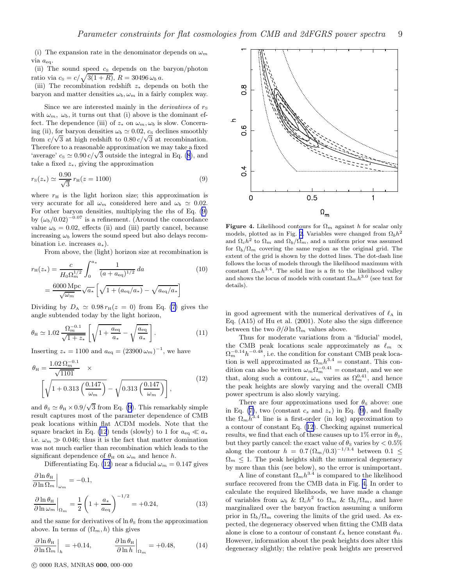<span id="page-8-0"></span>(i) The expansion rate in the denominator depends on  $\omega_m$ via aeq.

(ii) The sound speed  $c_S$  depends on the baryon/photon ratio via  $c_{\rm s} = c/\sqrt{3(1 + R)}$ ,  $R = 30496 \,\omega_b \, a$ .

(iii) The recombination redshift z<sup>∗</sup> depends on both the baryon and matter densities  $\omega_b$ ,  $\omega_m$  in a fairly complex way.

Since we are interested mainly in the *derivatives* of  $r<sub>S</sub>$ with  $\omega_m$ ,  $\omega_b$ , it turns out that (i) above is the dominant effect. The dependence (iii) of  $z_*$  on  $\omega_m, \omega_b$  is slow. Concerning (ii), for baryon densities  $\omega_b \simeq 0.02$ ,  $c_s$  declines smoothly from  $c/\sqrt{3}$  at high redshift to  $0.80 c/\sqrt{3}$  at recombination. Therefore to a reasonable approximation we may take a fixed 'average' $c_s \simeq 0.90 \, c/\sqrt{3}$  outside the integral in Eq. ([8](#page-7-0)), and take a fixed  $z_*,$  giving the approximation

$$
r_{\rm s}(z_*) \simeq \frac{0.90}{\sqrt{3}} r_{\rm H}(z = 1100) \tag{9}
$$

where  $r<sub>H</sub>$  is the light horizon size; this approximation is very accurate for all  $\omega_m$  considered here and  $\omega_b \simeq 0.02$ . For other baryon densities, multiplying the rhs of Eq. (9) by  $(\omega_b/0.02)^{-0.07}$  is a refinement. (Around the concordance value  $\omega_b = 0.02$ , effects (ii) and (iii) partly cancel, because increasing  $\omega_b$  lowers the sound speed but also delays recombination i.e. increases  $a_*$ ).

From above, the (light) horizon size at recombination is

$$
r_{\rm H}(z_{\ast}) = \frac{c}{H_0 \Omega_m^{1/2}} \int_0^{a_{\ast}} \frac{1}{(a + a_{\rm eq})^{1/2}} da
$$
(10)  
= 
$$
\frac{6000 \, \text{Mpc}}{\sqrt{\omega_m}} \sqrt{a_{\ast}} \left[ \sqrt{1 + (a_{\rm eq}/a_{\ast})} - \sqrt{a_{\rm eq}/a_{\ast}} \right]
$$

Dividing by  $D_A \simeq 0.98 r_H(z=0)$  from Eq. [\(7\)](#page-7-0) gives the angle subtended today by the light horizon,

$$
\theta_{\rm H} \simeq 1.02 \frac{\Omega_m^{-0.1}}{\sqrt{1+z_*}} \left[ \sqrt{1 + \frac{a_{\rm eq}}{a_*}} - \sqrt{\frac{a_{\rm eq}}{a_*}} \right].
$$
\n(11)

Inserting  $z_* = 1100$  and  $a_{eq} = (23900 \,\omega_m)^{-1}$ , we have

$$
\theta_{\rm H} = \frac{1.02 \,\Omega_m^{-0.1}}{\sqrt{1101}} \times \left[ \sqrt{1 + 0.313 \left( \frac{0.147}{\omega_m} \right)} - \sqrt{0.313 \left( \frac{0.147}{\omega_m} \right)} \right],
$$
\n(12)

and  $\theta_{\rm S} \simeq \theta_{\rm H} \times 0.9/\sqrt{3}$  from Eq. (9). This remarkably simple result captures most of the parameter dependence of CMB peak locations within flat ΛCDM models. Note that the square bracket in Eq. (12) tends (slowly) to 1 for  $a_{eq} \ll a_*$ i.e.  $\omega_m \gg 0.046$ ; thus it is the fact that matter domination was not much earlier than recombination which leads to the significant dependence of  $\theta_H$  on  $\omega_m$  and hence h.

Differentiating Eq. (12) near a fiducial  $\omega_m = 0.147$  gives

$$
\frac{\partial \ln \theta_{\rm H}}{\partial \ln \Omega_m}\Big|_{\omega_m} = -0.1,
$$
  

$$
\frac{\partial \ln \theta_{\rm H}}{\partial \ln \omega_m}\Big|_{\Omega_m} = \frac{1}{2} \left(1 + \frac{a_*}{a_{\rm eq}}\right)^{-1/2} = +0.24,
$$
 (13)

and the same for derivatives of  $\ln \theta_s$  from the approximation above. In terms of  $(\Omega_m, h)$  this gives

$$
\frac{\partial \ln \theta_{\rm H}}{\partial \ln \Omega_m}\Big|_h = +0.14, \qquad \frac{\partial \ln \theta_{\rm H}}{\partial \ln h}\Big|_{\Omega_m} = +0.48, \qquad (14)
$$



**Figure 4.** Likelihood contours for  $\Omega_m$  against h for scalar only models, plotted as in Fig. [2](#page-4-0). Variables were changed from  $\Omega_b h^2$ and  $\Omega_c h^2$  to  $\Omega_m$  and  $\Omega_b/\Omega_m$ , and a uniform prior was assumed for  $\Omega_b/\Omega_m$  covering the same region as the original grid. The extent of the grid is shown by the dotted lines. The dot-dash line follows the locus of models through the likelihood maximum with constant  $\Omega_m h^{3.4}$ . The solid line is a fit to the likelihood valley and shows the locus of models with constant  $\Omega_m h^{3.0}$  (see text for details).

in good agreement with the numerical derivatives of  $\ell_A$  in Eq. (A15) of Hu et al. (2001). Note also the sign difference between the two  $\partial/\partial \ln \Omega_m$  values above.

Thus for moderate variations from a 'fiducial' model, the CMB peak locations scale approximately as  $\ell_m \propto$  $\Omega_m^{-0.14}h^{-0.48}$ , i.e. the condition for constant CMB peak location is well approximated as  $\Omega_m h^{3.4} = \text{constant}$ . This condition can also be written  $\omega_m \Omega_m^{-0.41} = \text{constant}$ , and we see that, along such a contour,  $\omega_m$  varies as  $\Omega_m^{0.41}$ , and hence the peak heights are slowly varying and the overall CMB power spectrum is also slowly varying.

There are four approximations used for  $\theta_{\rm S}$  above: one inEq. ([7\)](#page-7-0), two (constant  $c_s$  and  $z_*$ ) in Eq. (9), and finally the  $\Omega_m h^{3.4}$  line is a first-order (in log) approximation to a contour of constant Eq. (12). Checking against numerical results, we find that each of these causes up to 1% error in  $\theta_s$ , but they partly cancel: the exact value of  $\theta_{\rm S}$  varies by  $< 0.5\%$ along the contour  $h = 0.7 (\Omega_m/0.3)^{-1/3.4}$  between  $0.1 \leq$  $\Omega_m \leq 1$ . The peak heights shift the numerical degeneracy by more than this (see below), so the error is unimportant.

A line of constant  $\Omega_m h^{3.4}$  is compared to the likelihood surface recovered from the CMB data in Fig. 4. In order to calculate the required likelihoods, we have made a change of variables from  $\omega_b$  &  $\Omega_c h^2$  to  $\Omega_m$  &  $\Omega_b/\Omega_m$ , and have marginalized over the baryon fraction assuming a uniform prior in  $\Omega_b/\Omega_m$  covering the limits of the grid used. As expected, the degeneracy observed when fitting the CMB data alone is close to a contour of constant  $\ell_A$  hence constant  $\theta_H$ . However, information about the peak heights does alter this degeneracy slightly; the relative peak heights are preserved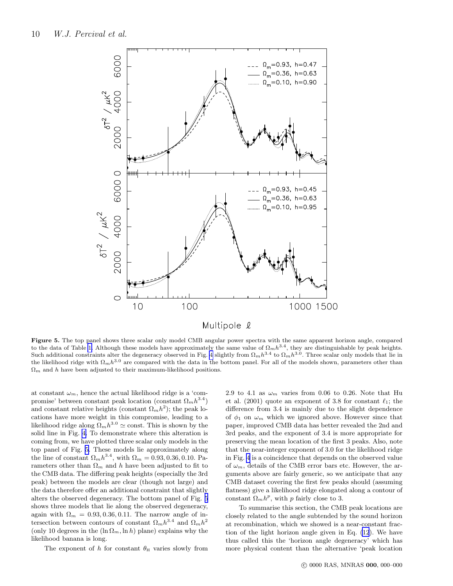

Figure 5. The top panel shows three scalar only model CMB angular power spectra with the same apparent horizon angle, compared to the data of Table [1.](#page-1-0) Although these models have approximately the same value of  $\Omega_m h^{3.4}$ , they are distinguishable by peak heights. Such additional constraints alter the degeneracy observed in Fig. [4](#page-8-0) slightly from  $\Omega_m h^{3.4}$  to  $\Omega_m h^{3.0}$ . Three scalar only models that lie in the likelihood ridge with  $\Omega_m h^{3.0}$  are compared with the data in the bottom panel. For all of the models shown, parameters other than  $\Omega_m$  and h have been adjusted to their maximum-likelihood positions.

at constant  $\omega_m$ , hence the actual likelihood ridge is a 'compromise' between constant peak location (constant  $\Omega_m h^{3.4}$ ) and constant relative heights (constant  $\Omega_m h^2$ ); the peak locations have more weight in this compromise, leading to a likelihood ridge along  $\Omega_m h^{3.0} \simeq \text{const.}$  This is shown by the solid line in Fig. [4.](#page-8-0) To demonstrate where this alteration is coming from, we have plotted three scalar only models in the top panel of Fig. 5. These models lie approximately along the line of constant  $\Omega_m h^{3.4}$ , with  $\Omega_m = 0.93, 0.36, 0.10$ . Parameters other than  $\Omega_m$  and h have been adjusted to fit to the CMB data. The differing peak heights (especially the 3rd peak) between the models are clear (though not large) and the data therefore offer an additional constraint that slightly alters the observed degeneracy. The bottom panel of Fig. 5 shows three models that lie along the observed degeneracy, again with  $\Omega_m = 0.93, 0.36, 0.11$ . The narrow angle of intersection between contours of constant  $\Omega_m h^{3.4}$  and  $\Omega_m h^2$ (only 10 degrees in the  $(\ln \Omega_m, \ln h)$  plane) explains why the likelihood banana is long.

The exponent of h for constant  $\theta_{\rm H}$  varies slowly from

2.9 to 4.1 as  $\omega_m$  varies from 0.06 to 0.26. Note that Hu et al. (2001) quote an exponent of 3.8 for constant  $\ell_1$ ; the difference from 3.4 is mainly due to the slight dependence of  $\phi_1$  on  $\omega_m$  which we ignored above. However since that paper, improved CMB data has better revealed the 2nd and 3rd peaks, and the exponent of 3.4 is more appropriate for preserving the mean location of the first 3 peaks. Also, note that the near-integer exponent of 3.0 for the likelihood ridge in Fig. [4](#page-8-0) is a coincidence that depends on the observed value of  $\omega_m$ , details of the CMB error bars etc. However, the arguments above are fairly generic, so we anticipate that any CMB dataset covering the first few peaks should (assuming flatness) give a likelihood ridge elongated along a contour of constant  $\Omega_m h^p$ , with p fairly close to 3.

To summarise this section, the CMB peak locations are closely related to the angle subtended by the sound horizon at recombination, which we showed is a near-constant fraction of the light horizon angle given in Eq. [\(12](#page-8-0)). We have thus called this the 'horizon angle degeneracy' which has more physical content than the alternative 'peak location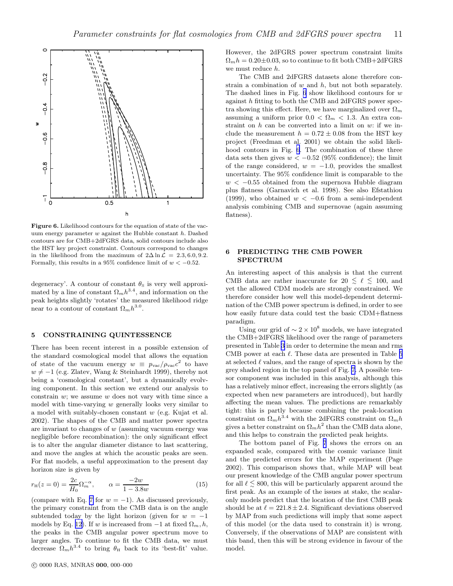<span id="page-10-0"></span>

Figure 6. Likelihood contours for the equation of state of the vacuum energy parameter  $w$  against the Hubble constant  $h$ . Dashed contours are for CMB+2dFGRS data, solid contours include also the HST key project constraint. Contours correspond to changes in the likelihood from the maximum of  $2\Delta \ln \mathcal{L} = 2.3, 6.0, 9.2$ . Formally, this results in a 95% confidence limit of  $w < -0.52$ .

degeneracy'. A contour of constant  $\theta_{\rm S}$  is very well approximated by a line of constant  $\Omega_m h^{3.4}$ , and information on the peak heights slightly 'rotates' the measured likelihood ridge near to a contour of constant  $\Omega_m h^{3.0}$ .

#### 5 CONSTRAINING QUINTESSENCE

There has been recent interest in a possible extension of the standard cosmological model that allows the equation of state of the vacuum energy  $w \equiv p_{\text{vac}}/p_{\text{vac}}c^2$  to have  $w \neq -1$  (e.g. Zlatev, Wang & Steinhardt 1999), thereby not being a 'cosmological constant', but a dynamically evolving component. In this section we extend our analysis to constrain  $w$ ; we assume  $w$  does not vary with time since a model with time-varying w generally looks very similar to a model with suitably-chosen constant w (e.g. Kujat et al. 2002). The shapes of the CMB and matter power spectra are invariant to changes of  $w$  (assuming vacuum energy was negligible before recombination): the only significant effect is to alter the angular diameter distance to last scattering, and move the angles at which the acoustic peaks are seen. For flat models, a useful approximation to the present day horizon size is given by

$$
r_{\rm H}(z=0) = \frac{2c}{H_0} \Omega_m^{-\alpha}, \qquad \alpha = \frac{-2w}{1 - 3.8w} \tag{15}
$$

(compare with Eq. [7](#page-7-0) for  $w = -1$ ). As discussed previously, the primary constraint from the CMB data is on the angle subtended today by the light horizon (given for  $w = -1$ ) models by Eq. [12\)](#page-8-0). If w is increased from  $-1$  at fixed  $\Omega_m$ , h, the peaks in the CMB angular power spectrum move to larger angles. To continue to fit the CMB data, we must decrease  $\Omega_m h^{3.4}$  to bring  $\theta_H$  back to its 'best-fit' value.

However, the 2dFGRS power spectrum constraint limits  $\Omega_m h = 0.20 \pm 0.03$ , so to continue to fit both CMB+2dFGRS we must reduce h.

The CMB and 2dFGRS datasets alone therefore constrain a combination of  $w$  and  $h$ , but not both separately. The dashed lines in Fig.  $6$  show likelihood contours for  $w$ against h fitting to both the CMB and 2dFGRS power spectra showing this effect. Here, we have marginalized over  $\Omega_m$ assuming a uniform prior  $0.0 < \Omega_m < 1.3$ . An extra constraint on  $h$  can be converted into a limit on  $w$ : if we include the measurement  $h = 0.72 \pm 0.08$  from the HST key project (Freedman et al. 2001) we obtain the solid likelihood contours in Fig. 6. The combination of these three data sets then gives  $w < -0.52$  (95% confidence); the limit of the range considered,  $w = -1.0$ , provides the smallest uncertainty. The 95% confidence limit is comparable to the  $w < -0.55$  obtained from the supernova Hubble diagram plus flatness (Garnavich et al. 1998). See also Efstathiou (1999), who obtained  $w < -0.6$  from a semi-independent analysis combining CMB and supernovae (again assuming flatness).

## 6 PREDICTING THE CMB POWER SPECTRUM

An interesting aspect of this analysis is that the current CMB data are rather inaccurate for 20  $\leq \ell \leq 100$ , and yet the allowed CDM models are strongly constrained. We therefore consider how well this model-dependent determination of the CMB power spectrum is defined, in order to see how easily future data could test the basic CDM+flatness paradigm.

Using our grid of  $\sim 2 \times 10^8$  models, we have integrated the CMB+2dFGRS likelihood over the range of parameters presented in Table [3](#page-4-0) in order to determine the mean and rms CMB power at each  $\ell$ . These data are presented in Table [5](#page-12-0) at selected  $\ell$  values, and the range of spectra is shown by the grey shaded region in the top panel of Fig. [7.](#page-11-0) A possible tensor component was included in this analysis, although this has a relatively minor effect, increasing the errors slightly (as expected when new parameters are introduced), but hardly affecting the mean values. The predictions are remarkably tight: this is partly because combining the peak-location constraint on  $\Omega_m h^{3.4}$  with the 2dFGRS constraint on  $\Omega_m h$ gives a better constraint on  $\Omega_m h^2$  than the CMB data alone, and this helps to constrain the predicted peak heights.

The bottom panel of Fig. [7](#page-11-0) shows the errors on an expanded scale, compared with the cosmic variance limit and the predicted errors for the MAP experiment (Page 2002). This comparison shows that, while MAP will beat our present knowledge of the CMB angular power spectrum for all  $\ell \leq 800$ , this will be particularly apparent around the first peak. As an example of the issues at stake, the scalaronly models predict that the location of the first CMB peak should be at  $\ell = 221.8 \pm 2.4$ . Significant deviations observed by MAP from such predictions will imply that some aspect of this model (or the data used to constrain it) is wrong. Conversely, if the observations of MAP are consistent with this band, then this will be strong evidence in favour of the model.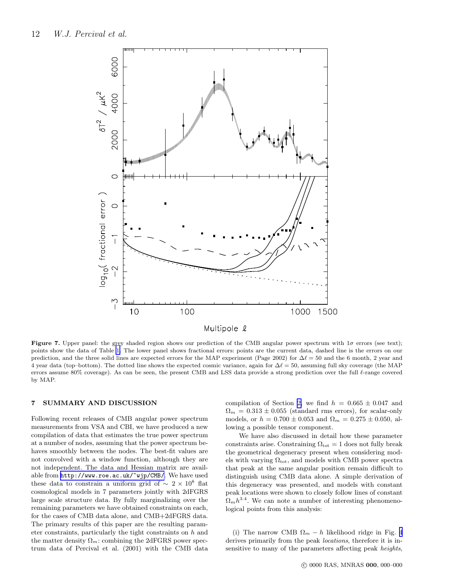<span id="page-11-0"></span>

Figure 7. Upper panel: the grey shaded region shows our prediction of the CMB angular power spectrum with  $1\sigma$  errors (see text); points show the data of Table [1.](#page-1-0) The lower panel shows fractional errors: points are the current data, dashed line is the errors on our prediction, and the three solid lines are expected errors for the MAP experiment (Page 2002) for  $\Delta\ell = 50$  and the 6 month, 2 year and 4 year data (top–bottom). The dotted line shows the expected cosmic variance, again for  $\Delta \ell = 50$ , assuming full sky coverage (the MAP errors assume 80% coverage). As can be seen, the present CMB and LSS data provide a strong prediction over the full ℓ-range covered by MAP.

## 7 SUMMARY AND DISCUSSION

Following recent releases of CMB angular power spectrum measurements from VSA and CBI, we have produced a new compilation of data that estimates the true power spectrum at a number of nodes, assuming that the power spectrum behaves smoothly between the nodes. The best-fit values are not convolved with a window function, although they are not independent. The data and Hessian matrix are available from [http://www.roe.ac.uk/~wjp/CMB/](http://www.roe.ac.uk/\protect \protect \protect \edef OT1{OT1}\let \enc@update \relax \protect \edef cmtt{cmr}\protect \edef m{m}\protect \edef n{n}\protect \xdef \OT1/cmtt/m/n/9 {\OT1/cmtt/m/n/9 }\OT1/cmtt/m/n/9 \size@update \enc@update \ignorespaces \relax \protect \protect \edef cmtt{cmtt}\protect \xdef \OT1/cmtt/m/n/9 {\OT1/cmtt/m/n/9 }\OT1/cmtt/m/n/9 \size@update \enc@update \mathgroup \symtypewriter ~wjp/CMB/). We have used these data to constrain a uniform grid of  $\sim 2 \times 10^8$  flat cosmological models in 7 parameters jointly with 2dFGRS large scale structure data. By fully marginalizing over the remaining parameters we have obtained constraints on each, for the cases of CMB data alone, and CMB+2dFGRS data. The primary results of this paper are the resulting parameter constraints, particularly the tight constraints on h and the matter density  $\Omega_m$ : combining the 2dFGRS power spectrum data of Percival et al. (2001) with the CMB data

compilation of Section [2,](#page-1-0) we find  $h = 0.665 \pm 0.047$  and  $\Omega_m = 0.313 \pm 0.055$  (standard rms errors), for scalar-only models, or  $h = 0.700 \pm 0.053$  and  $\Omega_m = 0.275 \pm 0.050$ , allowing a possible tensor component.

We have also discussed in detail how these parameter constraints arise. Constraining  $\Omega_{\text{tot}} = 1$  does not fully break the geometrical degeneracy present when considering models with varying  $\Omega_{\text{tot}}$ , and models with CMB power spectra that peak at the same angular position remain difficult to distinguish using CMB data alone. A simple derivation of this degeneracy was presented, and models with constant peak locations were shown to closely follow lines of constant  $\Omega_m h^{3.4}$ . We can note a number of interesting phenomenological points from this analysis:

(i) The narrow CMB  $\Omega_m - h$  likelihood ridge in Fig. [4](#page-8-0) derives primarily from the peak locations, therefore it is insensitive to many of the parameters affecting peak heights,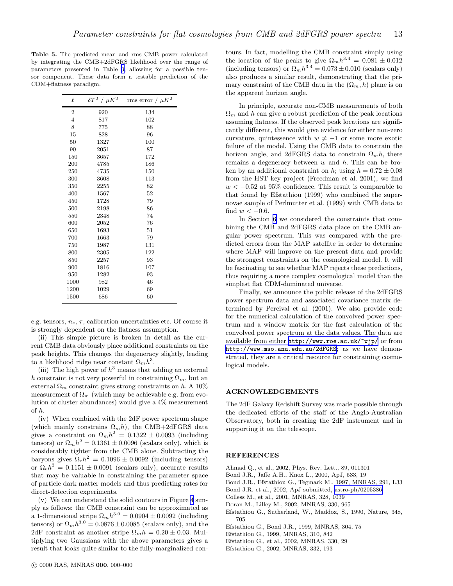<span id="page-12-0"></span>Table 5. The predicted mean and rms CMB power calculated by integrating the CMB+2dFGRS likelihood over the range of parameters presented in Table [3](#page-4-0), allowing for a possible tensor component. These data form a testable prediction of the CDM+flatness paradigm.

| $\delta T^2$<br>$/ \mu K^2$ | rms error / $\mu K^2$ |
|-----------------------------|-----------------------|
| 920                         | 134                   |
| 817                         | 102                   |
| 775                         | 88                    |
| 828                         | 96                    |
| 1327                        | 100                   |
| 2051                        | 87                    |
| 3657                        | 172                   |
| 4785                        | 186                   |
| 4735                        | 150                   |
| 3608                        | 113                   |
| 2255                        | 82                    |
| 1567                        | 52                    |
| 1728                        | 79                    |
| 2198                        | 86                    |
| 2348                        | 74                    |
| 2052                        | 76                    |
| 1693                        | 51                    |
| 1663                        | 79                    |
| 1987                        | 131                   |
| 2305                        | 122                   |
| 2257                        | 93                    |
| 1816                        | 107                   |
| 1282                        | 93                    |
| 982                         | 46                    |
| 1029                        | 69                    |
| 686                         | 60                    |
|                             |                       |

e.g. tensors,  $n_s$ ,  $\tau$ , calibration uncertainties etc. Of course it is strongly dependent on the flatness assumption.

(ii) This simple picture is broken in detail as the current CMB data obviously place additional constraints on the peak heights. This changes the degeneracy slightly, leading to a likelihood ridge near constant  $\Omega_m h^3$ .

(iii) The high power of  $h^3$  means that adding an external h constraint is not very powerful in constraining  $\Omega_m$ , but an external  $\Omega_m$  constraint gives strong constraints on h. A 10% measurement of  $\Omega_m$  (which may be achievable e.g. from evolution of cluster abundances) would give a 4% measurement of h.

(iv) When combined with the 2dF power spectrum shape (which mainly constrains  $\Omega_m h$ ), the CMB+2dFGRS data gives a constraint on  $\Omega_m h^2 = 0.1322 \pm 0.0093$  (including tensors) or  $\Omega_m h^2 = 0.1361 \pm 0.0096$  (scalars only), which is considerably tighter from the CMB alone. Subtracting the baryons gives  $\Omega_c h^2 = 0.1096 \pm 0.0092$  (including tensors) or  $\Omega_c h^2 = 0.1151 \pm 0.0091$  (scalars only), accurate results that may be valuable in constraining the parameter space of particle dark matter models and thus predicting rates for direct-detection experiments.

(v) We can understand the solid contours in Figure [4](#page-8-0) simply as follows: the CMB constraint can be approximated as a 1-dimensional stripe  $\Omega_m h^{3.0} = 0.0904 \pm 0.0092$  (including tensors) or  $\Omega_m h^{3.0} = 0.0876 \pm 0.0085$  (scalars only), and the 2dF constraint as another stripe  $\Omega_m h = 0.20 \pm 0.03$ . Multiplying two Gaussians with the above parameters gives a result that looks quite similar to the fully-marginalized contours. In fact, modelling the CMB constraint simply using the location of the peaks to give  $\Omega_m h^{3.4} = 0.081 \pm 0.012$ (including tensors) or  $\Omega_m h^{3.4} = 0.073 \pm 0.010$  (scalars only) also produces a similar result, demonstrating that the primary constraint of the CMB data in the  $(\Omega_m, h)$  plane is on the apparent horizon angle.

In principle, accurate non-CMB measurements of both  $\Omega_m$  and h can give a robust prediction of the peak locations assuming flatness. If the observed peak locations are significantly different, this would give evidence for either non-zero curvature, quintessence with  $w \neq -1$  or some more exotic failure of the model. Using the CMB data to constrain the horizon angle, and 2dFGRS data to constrain  $\Omega_m h$ , there remains a degeneracy between  $w$  and  $h$ . This can be broken by an additional constraint on h; using  $h = 0.72 \pm 0.08$ from the HST key project (Freedman et al. 2001), we find  $w < -0.52$  at 95% confidence. This result is comparable to that found by Efstathiou (1999) who combined the supernovae sample of Perlmutter et al. (1999) with CMB data to find  $w < -0.6$ .

In Section [6](#page-10-0) we considered the constraints that combining the CMB and 2dFGRS data place on the CMB angular power spectrum. This was compared with the predicted errors from the MAP satellite in order to determine where MAP will improve on the present data and provide the strongest constraints on the cosmological model. It will be fascinating to see whether MAP rejects these predictions, thus requiring a more complex cosmological model than the simplest flat CDM-dominated universe.

Finally, we announce the public release of the 2dFGRS power spectrum data and associated covariance matrix determined by Percival et al. (2001). We also provide code for the numerical calculation of the convolved power spectrum and a window matrix for the fast calculation of the convolved power spectrum at the data values. The data are available from either [http://www.roe.ac.uk/~wjp/](http://www.roe.ac.uk/\protect \protect \protect \edef OT1{OT1}\let \enc@update \relax \protect \edef cmtt{cmr}\protect \edef m{m}\protect \edef n{n}\protect \xdef \OT1/cmtt/m/n/9 {\OT1/cmtt/m/n/9 }\OT1/cmtt/m/n/9 \size@update \enc@update \ignorespaces \relax \protect \protect \edef cmtt{cmtt}\protect \xdef \OT1/cmtt/m/n/9 {\OT1/cmtt/m/n/9 }\OT1/cmtt/m/n/9 \size@update \enc@update \mathgroup \symtypewriter ~wjp/) or from <http://www.mso.anu.edu.au/2dFGRS>; as we have demonstrated, they are a critical resource for constraining cosmological models.

### ACKNOWLEDGEMENTS

The 2dF Galaxy Redshift Survey was made possible through the dedicated efforts of the staff of the Anglo-Australian Observatory, both in creating the 2dF instrument and in supporting it on the telescope.

## **REFERENCES**

- Ahmad Q., et al., 2002, Phys. Rev. Lett., 89, 011301
- Bond J.R., Jaffe A.H., Knox L., 2000, ApJ, 533, 19
- Bond J.R., Efstathiou G., Tegmark M., 1997, MNRAS, 291, L33
- Bond J.R. et al., 2002, ApJ submitted, [astro-ph/0205386](http://arxiv.org/abs/astro-ph/0205386)
- Colless M., et al., 2001, MNRAS, 328, 1039
- Doran M., Lilley M., 2002, MNRAS, 330, 965
- Efstathiou G., Sutherland, W., Maddox, S., 1990, Nature, 348, 705
- Efstathiou G., Bond J.R., 1999, MNRAS, 304, 75
- Efstathiou G., 1999, MNRAS, 310, 842
- Efstathiou G., et al., 2002, MNRAS, 330, 29
- Efstathiou G., 2002, MNRAS, 332, 193